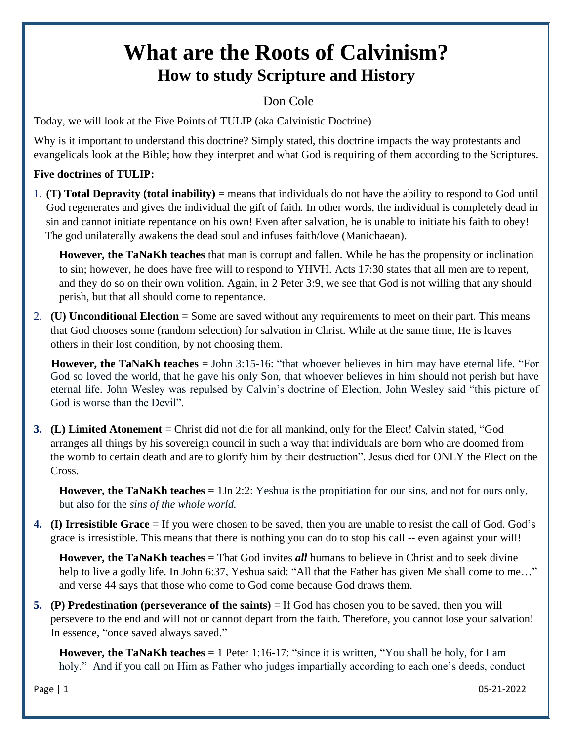# **What are the Roots of Calvinism? How to study Scripture and History**

## Don Cole

Today, we will look at the Five Points of TULIP (aka Calvinistic Doctrine)

Why is it important to understand this doctrine? Simply stated, this doctrine impacts the way protestants and evangelicals look at the Bible; how they interpret and what God is requiring of them according to the Scriptures.

## **Five doctrines of TULIP:**

1. **(T) Total Depravity (total inability)** = means that individuals do not have the ability to respond to God until God regenerates and gives the individual the gift of faith. In other words, the individual is completely dead in sin and cannot initiate repentance on his own! Even after salvation, he is unable to initiate his faith to obey! The god unilaterally awakens the dead soul and infuses faith/love (Manichaean).

**However, the TaNaKh teaches** that man is corrupt and fallen. While he has the propensity or inclination to sin; however, he does have free will to respond to YHVH. Acts 17:30 states that all men are to repent, and they do so on their own volition. Again, in 2 Peter 3:9, we see that God is not willing that any should perish, but that all should come to repentance.

2. **(U) Unconditional Election =** Some are saved without any requirements to meet on their part. This means that God chooses some (random selection) for salvation in Christ. While at the same time, He is leaves others in their lost condition, by not choosing them.

**However, the TaNaKh teaches** = John 3:15-16: "that whoever believes in him may have eternal life. "For God so loved the world, that he gave his only Son, that whoever believes in him should not perish but have eternal life. John Wesley was repulsed by Calvin's doctrine of Election, John Wesley said "this picture of God is worse than the Devil".

**3. (L) Limited Atonement** = Christ did not die for all mankind, only for the Elect! Calvin stated, "God arranges all things by his sovereign council in such a way that individuals are born who are doomed from the womb to certain death and are to glorify him by their destruction". Jesus died for ONLY the Elect on the Cross.

**However, the TaNaKh teaches** = 1Jn 2:2: Yeshua is the propitiation for our sins, and not for ours only, but also for the *sins of the whole world.*

**4. (I) Irresistible Grace** = If you were chosen to be saved, then you are unable to resist the call of God. God's grace is irresistible. This means that there is nothing you can do to stop his call -- even against your will!

**However, the TaNaKh teaches** = That God invites *all* humans to believe in Christ and to seek divine help to live a godly life. In John 6:37, Yeshua said: "All that the Father has given Me shall come to me..." and verse 44 says that those who come to God come because God draws them.

**5. (P) Predestination (perseverance of the saints)** = If God has chosen you to be saved, then you will persevere to the end and will not or cannot depart from the faith. Therefore, you cannot lose your salvation! In essence, "once saved always saved."

**However, the TaNaKh teaches** = 1 Peter 1:16-17: "since it is written, "You shall be holy, for I am holy." And if you call on Him as Father who judges impartially according to each one's deeds, conduct

Page | 1 05-21-2022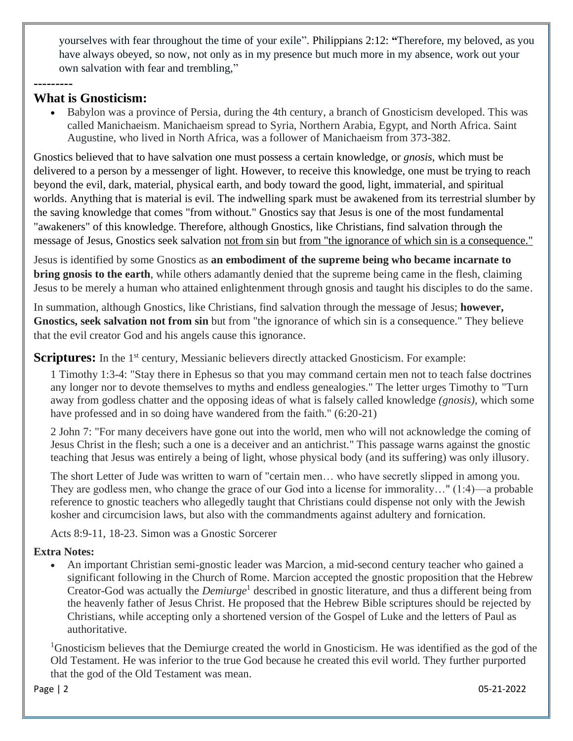yourselves with fear throughout the time of your exile". Philippians 2:12: **"**Therefore, my beloved, as you have always obeyed, so now, not only as in my presence but much more in my absence, work out your own salvation with fear and trembling,"

### **What is Gnosticism:**

**---------**

• Babylon was a province of Persia, during the 4th century, a branch of Gnosticism developed. This was called Manichaeism. Manichaeism spread to Syria, Northern Arabia, Egypt, and North Africa. Saint Augustine, who lived in North Africa, was a follower of Manichaeism from 373-382.

Gnostics believed that to have salvation one must possess a certain knowledge, or *gnosis*, which must be delivered to a person by a messenger of light. However, to receive this knowledge, one must be trying to reach beyond the evil, dark, material, physical earth, and body toward the good, light, immaterial, and spiritual worlds. Anything that is material is evil. The indwelling spark must be awakened from its terrestrial slumber by the saving knowledge that comes "from without." Gnostics say that Jesus is one of the most fundamental "awakeners" of this knowledge. Therefore, although Gnostics, like Christians, find salvation through the message of Jesus, Gnostics seek salvation not from sin but from "the ignorance of which sin is a consequence."

Jesus is identified by some Gnostics as **an embodiment of the supreme being who became incarnate to bring gnosis to the earth**, while others adamantly denied that the supreme being came in the flesh, claiming Jesus to be merely a human who attained enlightenment through gnosis and taught his disciples to do the same.

In summation, although Gnostics, like Christians, find salvation through the message of Jesus; **however, Gnostics, seek salvation not from sin** but from "the ignorance of which sin is a consequence." They believe that the evil creator God and his angels cause this ignorance.

#### **Scriptures:** In the 1<sup>st</sup> century, Messianic believers directly attacked Gnosticism. For example:

1 Timothy 1:3-4: "Stay there in Ephesus so that you may command certain men not to teach false doctrines any longer nor to devote themselves to myths and endless genealogies." The letter urges Timothy to "Turn away from godless chatter and the opposing ideas of what is falsely called knowledge *(gnosis),* which some have professed and in so doing have wandered from the faith." (6:20-21)

2 John 7: "For many deceivers have gone out into the world, men who will not acknowledge the coming of Jesus Christ in the flesh; such a one is a deceiver and an antichrist." This passage warns against the gnostic teaching that Jesus was entirely a being of light, whose physical body (and its suffering) was only illusory.

The short Letter of Jude was written to warn of "certain men… who have secretly slipped in among you. They are godless men, who change the grace of our God into a license for immorality…" (1:4)—a probable reference to gnostic teachers who allegedly taught that Christians could dispense not only with the Jewish kosher and circumcision laws, but also with the commandments against adultery and fornication.

Acts 8:9-11, 18-23. Simon was a Gnostic Sorcerer

#### **Extra Notes:**

• An important Christian semi-gnostic leader was [Marcion,](https://www.newworldencyclopedia.org/entry/Marcion) a mid-second century teacher who gained a significant following in the Church of Rome. Marcion accepted the gnostic proposition that the Hebrew Creator-God was actually the *Demiurge*<sup>1</sup> described in gnostic literature, and thus a different being from the heavenly father of Jesus Christ. He proposed that the Hebrew Bible scriptures should be rejected by Christians, while accepting only a shortened version of the [Gospel of Luke](https://www.newworldencyclopedia.org/entry/Gospel_of_Luke) and the letters of Paul as authoritative.

<sup>1</sup>Gnosticism believes that the Demiurge created the world in Gnosticism. He was identified as the god of the Old Testament. He was inferior to the true God because he created this evil world. They further purported that the god of the Old Testament was mean.